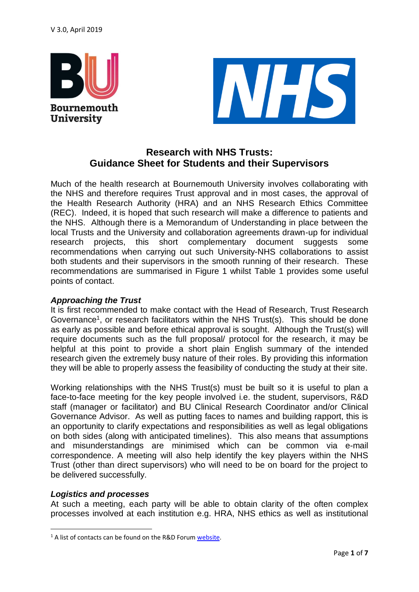

**University** 



## **Research with NHS Trusts: Guidance Sheet for Students and their Supervisors**

Much of the health research at Bournemouth University involves collaborating with the NHS and therefore requires Trust approval and in most cases, the approval of the Health Research Authority (HRA) and an NHS Research Ethics Committee (REC). Indeed, it is hoped that such research will make a difference to patients and the NHS. Although there is a Memorandum of Understanding in place between the local Trusts and the University and collaboration agreements drawn-up for individual research projects, this short complementary document suggests some recommendations when carrying out such University-NHS collaborations to assist both students and their supervisors in the smooth running of their research. These recommendations are summarised in Figure 1 whilst Table 1 provides some useful points of contact.

### *Approaching the Trust*

It is first recommended to make contact with the Head of Research, Trust Research Governance<sup>1</sup>, or research facilitators within the NHS Trust(s). This should be done as early as possible and before ethical approval is sought. Although the Trust(s) will require documents such as the full proposal/ protocol for the research, it may be helpful at this point to provide a short plain English summary of the intended research given the extremely busy nature of their roles. By providing this information they will be able to properly assess the feasibility of conducting the study at their site.

Working relationships with the NHS Trust(s) must be built so it is useful to plan a face-to-face meeting for the key people involved i.e. the student, supervisors, R&D staff (manager or facilitator) and BU Clinical Research Coordinator and/or Clinical Governance Advisor. As well as putting faces to names and building rapport, this is an opportunity to clarify expectations and responsibilities as well as legal obligations on both sides (along with anticipated timelines). This also means that assumptions and misunderstandings are minimised which can be common via e-mail correspondence. A meeting will also help identify the key players within the NHS Trust (other than direct supervisors) who will need to be on board for the project to be delivered successfully.

### *Logistics and processes*

.

At such a meeting, each party will be able to obtain clarity of the often complex processes involved at each institution e.g. HRA, NHS ethics as well as institutional

<sup>&</sup>lt;sup>1</sup> A list of contacts can be found on the R&D Forum [website.](http://www.rdforum.nhs.uk/content/contact-details/)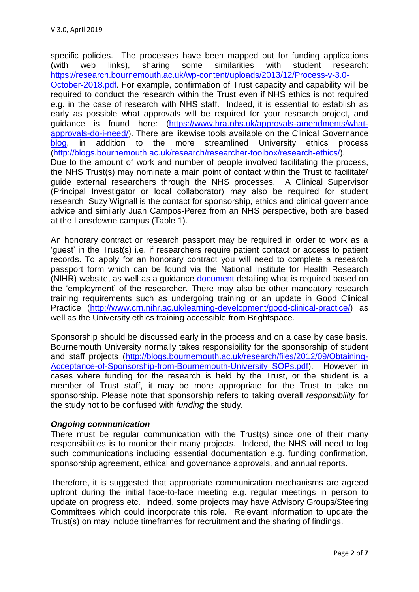specific policies. The processes have been mapped out for funding applications (with web links), sharing some similarities with student research: [https://research.bournemouth.ac.uk/wp-content/uploads/2013/12/Process-v-3.0-](https://research.bournemouth.ac.uk/wp-content/uploads/2013/12/Process-v-3.0-October-2018.pdf) [October-2018.pdf.](https://research.bournemouth.ac.uk/wp-content/uploads/2013/12/Process-v-3.0-October-2018.pdf) For example, confirmation of Trust capacity and capability will be required to conduct the research within the Trust even if NHS ethics is not required e.g. in the case of research with NHS staff. Indeed, it is essential to establish as early as possible what approvals will be required for your research project, and guidance is found here: [\(https://www.hra.nhs.uk/approvals-amendments/what](https://www.hra.nhs.uk/approvals-amendments/what-approvals-do-i-need/)[approvals-do-i-need/\)](https://www.hra.nhs.uk/approvals-amendments/what-approvals-do-i-need/). There are likewise tools available on the Clinical Governance [blog,](https://blogs.bournemouth.ac.uk/research/research-ethics-bu/clinical-governance/) in addition to the more streamlined University ethics process [\(http://blogs.bournemouth.ac.uk/research/researcher-toolbox/research-ethics/\)](http://blogs.bournemouth.ac.uk/research/researcher-toolbox/research-ethics/). Due to the amount of work and number of people involved facilitating the process, the NHS Trust(s) may nominate a main point of contact within the Trust to facilitate/ guide external researchers through the NHS processes. A Clinical Supervisor (Principal Investigator or local collaborator) may also be required for student research. Suzy Wignall is the contact for sponsorship, ethics and clinical governance advice and similarly Juan Campos-Perez from an NHS perspective, both are based

An honorary contract or research passport may be required in order to work as a 'guest' in the Trust(s) i.e. if researchers require patient contact or access to patient records. To apply for an honorary contract you will need to complete a research passport form which can be found via the National Institute for Health Research (NIHR) website, as well as a guidance [document](https://www.nihr.ac.uk/02-documents/policy-and-standards/Faster-easier-clinical-research/Research-passports/Hr%20Good%20Practice%20Resource%20Pack/HR-Good-Practice-Info-for-researchers-RD-and-HR-staff-in-the-NHS-and-HEIs.pdf) detailing what is required based on the 'employment' of the researcher. There may also be other mandatory research training requirements such as undergoing training or an update in Good Clinical Practice [\(http://www.crn.nihr.ac.uk/learning-development/good-clinical-practice/\)](http://www.crn.nihr.ac.uk/learning-development/good-clinical-practice/) as well as the University ethics training accessible from Brightspace.

Sponsorship should be discussed early in the process and on a case by case basis. Bournemouth University normally takes responsibility for the sponsorship of student and staff projects [\(http://blogs.bournemouth.ac.uk/research/files/2012/09/Obtaining-](http://blogs.bournemouth.ac.uk/research/files/2012/09/Obtaining-Acceptance-of-Sponsorship-from-Bournemouth-University_SOPs.pdf)Acceptance-of-Sponsorship-from-Bournemouth-University SOPs.pdf). However in cases where funding for the research is held by the Trust, or the student is a member of Trust staff, it may be more appropriate for the Trust to take on sponsorship. Please note that sponsorship refers to taking overall *responsibility* for the study not to be confused with *funding* the study.

#### *Ongoing communication*

at the Lansdowne campus (Table 1).

There must be regular communication with the Trust(s) since one of their many responsibilities is to monitor their many projects. Indeed, the NHS will need to log such communications including essential documentation e.g. funding confirmation, sponsorship agreement, ethical and governance approvals, and annual reports.

Therefore, it is suggested that appropriate communication mechanisms are agreed upfront during the initial face-to-face meeting e.g. regular meetings in person to update on progress etc. Indeed, some projects may have Advisory Groups/Steering Committees which could incorporate this role. Relevant information to update the Trust(s) on may include timeframes for recruitment and the sharing of findings.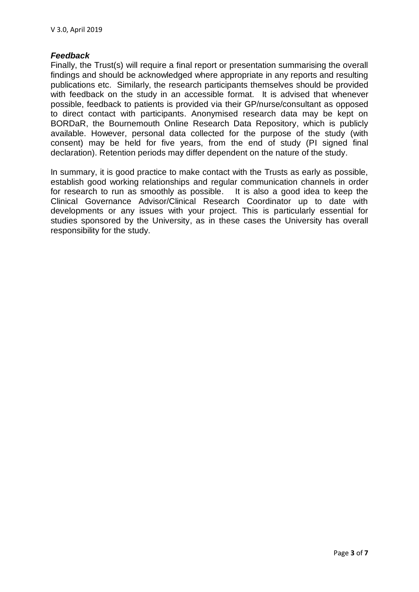#### *Feedback*

Finally, the Trust(s) will require a final report or presentation summarising the overall findings and should be acknowledged where appropriate in any reports and resulting publications etc. Similarly, the research participants themselves should be provided with feedback on the study in an accessible format. It is advised that whenever possible, feedback to patients is provided via their GP/nurse/consultant as opposed to direct contact with participants. Anonymised research data may be kept on BORDaR, the Bournemouth Online Research Data Repository, which is publicly available. However, personal data collected for the purpose of the study (with consent) may be held for five years, from the end of study (PI signed final declaration). Retention periods may differ dependent on the nature of the study.

In summary, it is good practice to make contact with the Trusts as early as possible, establish good working relationships and regular communication channels in order for research to run as smoothly as possible. It is also a good idea to keep the Clinical Governance Advisor/Clinical Research Coordinator up to date with developments or any issues with your project. This is particularly essential for studies sponsored by the University, as in these cases the University has overall responsibility for the study.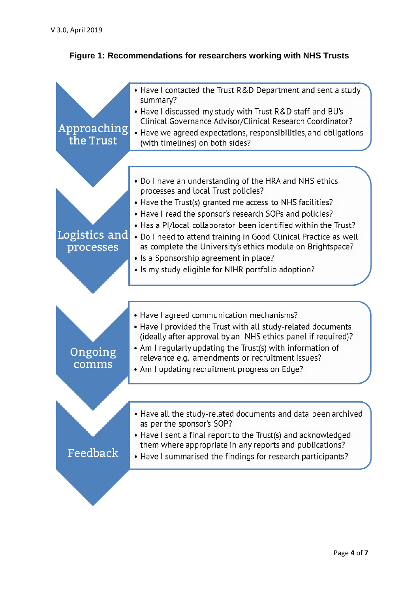# **Figure 1: Recommendations for researchers working with NHS Trusts**

| Approaching<br>the Trust   | • Have I contacted the Trust R&D Department and sent a study<br>summary?<br>• Have I discussed my study with Trust R&D staff and BU's<br>Clinical Governance Advisor/Clinical Research Coordinator?<br>• Have we agreed expectations, responsibilities, and obligations<br>(with timelines) on both sides?                                                                                                                                                                                                                 |
|----------------------------|----------------------------------------------------------------------------------------------------------------------------------------------------------------------------------------------------------------------------------------------------------------------------------------------------------------------------------------------------------------------------------------------------------------------------------------------------------------------------------------------------------------------------|
|                            |                                                                                                                                                                                                                                                                                                                                                                                                                                                                                                                            |
| Logistics and<br>processes | • Do I have an understanding of the HRA and NHS ethics<br>processes and local Trust policies?<br>• Have the Trust(s) granted me access to NHS facilities?<br>• Have I read the sponsor's research SOPs and policies?<br>• Has a Pl/local collaborator been identified within the Trust?<br>• Do I need to attend training in Good Clinical Practice as well<br>as complete the University's ethics module on Brightspace?<br>• Is a Sponsorship agreement in place?<br>• Is my study eligible for NIHR portfolio adoption? |
| Ongoing<br>comms           | • Have I agreed communication mechanisms?<br>• Have I provided the Trust with all study-related documents<br>(ideally after approval by an NHS ethics panel if required)?<br>• Am I regularly updating the Trust(s) with information of<br>relevance e.g. amendments or recruitment issues?<br>• Am I updating recruitment progress on Edge?                                                                                                                                                                               |
|                            |                                                                                                                                                                                                                                                                                                                                                                                                                                                                                                                            |
| Feedback                   | • Have all the study-related documents and data been archived<br>as per the sponsor's SOP?<br>• Have I sent a final report to the Trust(s) and acknowledged<br>them where appropriate in any reports and publications?<br>• Have I summarised the findings for research participants?                                                                                                                                                                                                                                      |
|                            |                                                                                                                                                                                                                                                                                                                                                                                                                                                                                                                            |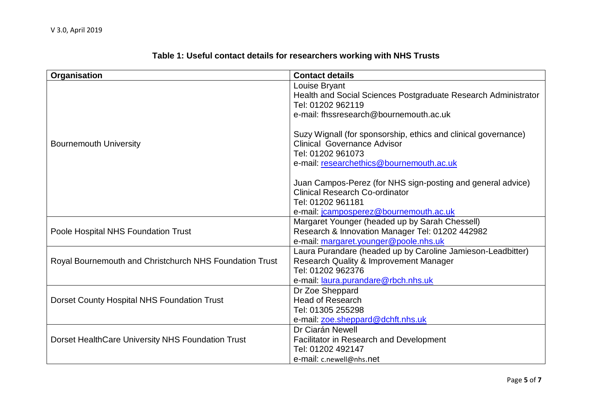| Organisation                                            | <b>Contact details</b>                                                              |
|---------------------------------------------------------|-------------------------------------------------------------------------------------|
|                                                         | Louise Bryant                                                                       |
|                                                         | Health and Social Sciences Postgraduate Research Administrator<br>Tel: 01202 962119 |
|                                                         | e-mail: fhssresearch@bournemouth.ac.uk                                              |
|                                                         |                                                                                     |
|                                                         | Suzy Wignall (for sponsorship, ethics and clinical governance)                      |
| <b>Bournemouth University</b>                           | <b>Clinical Governance Advisor</b>                                                  |
|                                                         | Tel: 01202 961073                                                                   |
|                                                         | e-mail: researchethics@bournemouth.ac.uk                                            |
|                                                         |                                                                                     |
|                                                         | Juan Campos-Perez (for NHS sign-posting and general advice)                         |
|                                                         | <b>Clinical Research Co-ordinator</b>                                               |
|                                                         | Tel: 01202 961181                                                                   |
|                                                         | e-mail: jcamposperez@bournemouth.ac.uk                                              |
|                                                         | Margaret Younger (headed up by Sarah Chessell)                                      |
| Poole Hospital NHS Foundation Trust                     | Research & Innovation Manager Tel: 01202 442982                                     |
|                                                         | e-mail: margaret.younger@poole.nhs.uk                                               |
|                                                         | Laura Purandare (headed up by Caroline Jamieson-Leadbitter)                         |
| Royal Bournemouth and Christchurch NHS Foundation Trust | <b>Research Quality &amp; Improvement Manager</b>                                   |
|                                                         | Tel: 01202 962376                                                                   |
|                                                         | e-mail: laura.purandare@rbch.nhs.uk                                                 |
|                                                         | Dr Zoe Sheppard                                                                     |
| Dorset County Hospital NHS Foundation Trust             | <b>Head of Research</b>                                                             |
|                                                         | Tel: 01305 255298                                                                   |
|                                                         | e-mail: zoe.sheppard@dchft.nhs.uk                                                   |
|                                                         | Dr Ciarán Newell                                                                    |
| Dorset HealthCare University NHS Foundation Trust       | <b>Facilitator in Research and Development</b>                                      |
|                                                         | Tel: 01202 492147                                                                   |
|                                                         | e-mail: c.newell@nhs.net                                                            |

# **Table 1: Useful contact details for researchers working with NHS Trusts**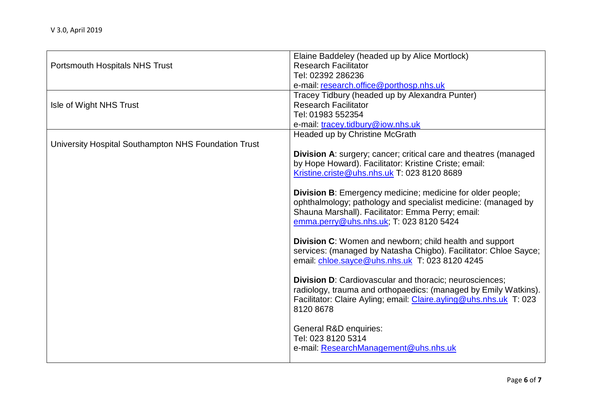|                                                      | Elaine Baddeley (headed up by Alice Mortlock)                           |
|------------------------------------------------------|-------------------------------------------------------------------------|
| <b>Portsmouth Hospitals NHS Trust</b>                | <b>Research Facilitator</b>                                             |
|                                                      | Tel: 02392 286236                                                       |
|                                                      | e-mail: research.office@porthosp.nhs.uk                                 |
|                                                      | Tracey Tidbury (headed up by Alexandra Punter)                          |
| Isle of Wight NHS Trust                              | <b>Research Facilitator</b>                                             |
|                                                      | Tel: 01983 552354                                                       |
|                                                      | e-mail: tracey.tidbury@iow.nhs.uk                                       |
|                                                      | Headed up by Christine McGrath                                          |
| University Hospital Southampton NHS Foundation Trust |                                                                         |
|                                                      | <b>Division A:</b> surgery; cancer; critical care and theatres (managed |
|                                                      | by Hope Howard). Facilitator: Kristine Criste; email:                   |
|                                                      | Kristine.criste@uhs.nhs.uk T: 023 8120 8689                             |
|                                                      |                                                                         |
|                                                      | <b>Division B:</b> Emergency medicine; medicine for older people;       |
|                                                      | ophthalmology; pathology and specialist medicine: (managed by           |
|                                                      | Shauna Marshall). Facilitator: Emma Perry; email:                       |
|                                                      | emma.perry@uhs.nhs.uk; T: 023 8120 5424                                 |
|                                                      |                                                                         |
|                                                      | <b>Division C:</b> Women and newborn; child health and support          |
|                                                      | services: (managed by Natasha Chigbo). Facilitator: Chloe Sayce;        |
|                                                      | email: chloe.sayce@uhs.nhs.uk T: 023 8120 4245                          |
|                                                      |                                                                         |
|                                                      | Division D: Cardiovascular and thoracic; neurosciences;                 |
|                                                      | radiology, trauma and orthopaedics: (managed by Emily Watkins).         |
|                                                      | Facilitator: Claire Ayling; email: Claire.ayling@uhs.nhs.uk T: 023      |
|                                                      | 8120 8678                                                               |
|                                                      |                                                                         |
|                                                      | General R&D enquiries:                                                  |
|                                                      | Tel: 023 8120 5314                                                      |
|                                                      | e-mail: ResearchManagement@uhs.nhs.uk                                   |
|                                                      |                                                                         |